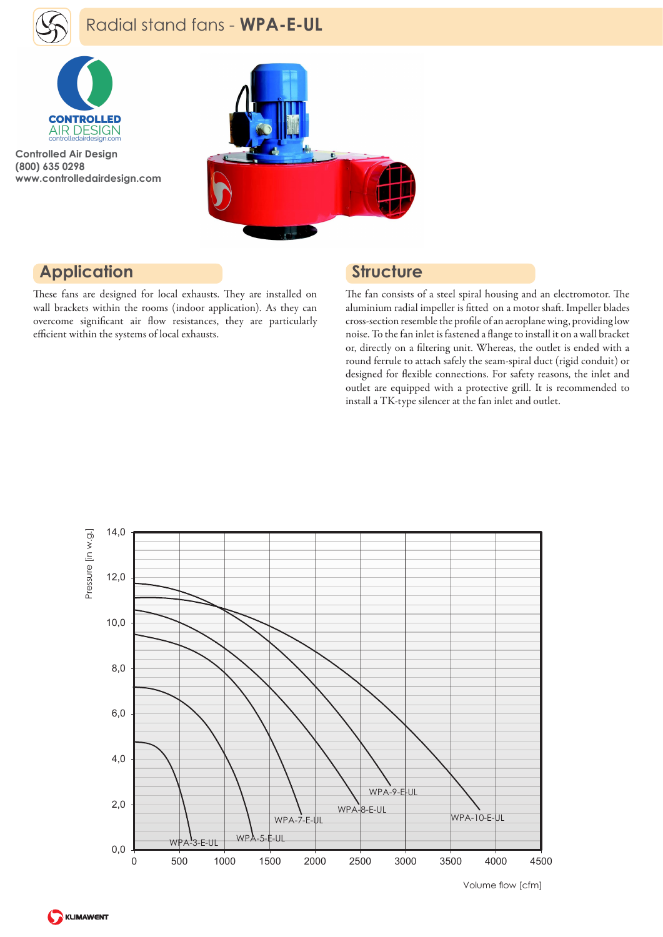

# Radial stand fans - **WPA-E-UL**



**Controlled Air Design (800) 635 0298 www.controlledairdesign.com**



### **Application**

These fans are designed for local exhausts. They are installed on wall brackets within the rooms (indoor application). As they can overcome significant air flow resistances, they are particularly efficient within the systems of local exhausts.

#### **Structure**

The fan consists of a steel spiral housing and an electromotor. The aluminium radial impeller is fitted on a motor shaft. Impeller blades cross-section resemble the profile of an aeroplane wing, providing low noise. To the fan inlet is fastened a flange to install it on a wall bracket or, directly on a filtering unit. Whereas, the outlet is ended with a round ferrule to attach safely the seam-spiral duct (rigid conduit) or designed for flexible connections. For safety reasons, the inlet and outlet are equipped with a protective grill. It is recommended to install a TK-type silencer at the fan inlet and outlet.



Volume flow [cfm]

KLIMAWENT